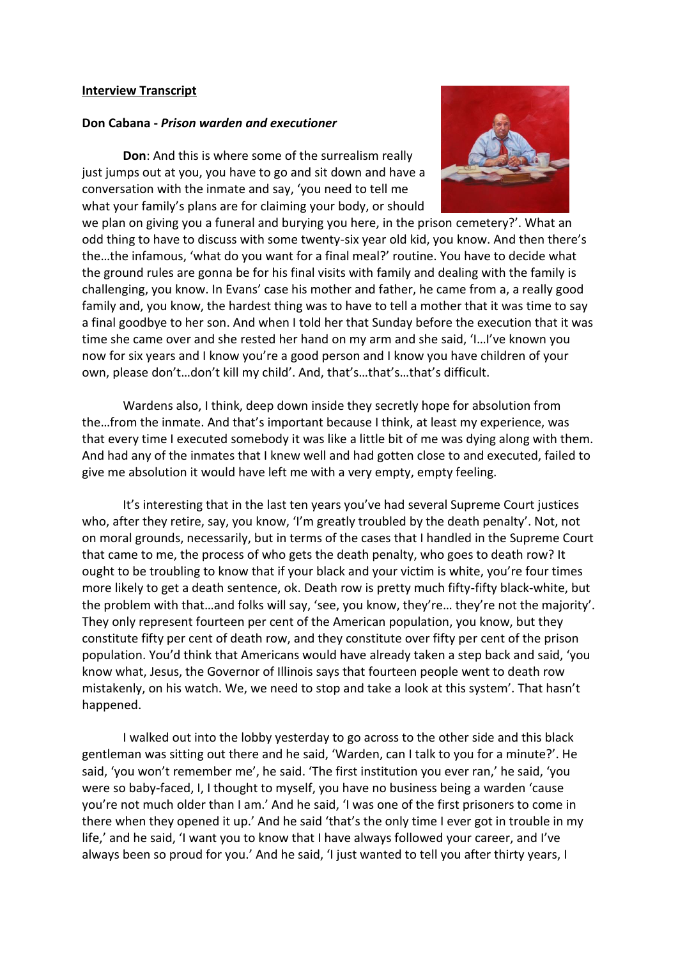## **Interview Transcript**

## **Don Cabana -** *Prison warden and executioner*

**Don**: And this is where some of the surrealism really just jumps out at you, you have to go and sit down and have a conversation with the inmate and say, 'you need to tell me what your family's plans are for claiming your body, or should



we plan on giving you a funeral and burying you here, in the prison cemetery?'. What an odd thing to have to discuss with some twenty-six year old kid, you know. And then there's the…the infamous, 'what do you want for a final meal?' routine. You have to decide what the ground rules are gonna be for his final visits with family and dealing with the family is challenging, you know. In Evans' case his mother and father, he came from a, a really good family and, you know, the hardest thing was to have to tell a mother that it was time to say a final goodbye to her son. And when I told her that Sunday before the execution that it was time she came over and she rested her hand on my arm and she said, 'I…I've known you now for six years and I know you're a good person and I know you have children of your own, please don't…don't kill my child'. And, that's…that's…that's difficult.

Wardens also, I think, deep down inside they secretly hope for absolution from the…from the inmate. And that's important because I think, at least my experience, was that every time I executed somebody it was like a little bit of me was dying along with them. And had any of the inmates that I knew well and had gotten close to and executed, failed to give me absolution it would have left me with a very empty, empty feeling.

It's interesting that in the last ten years you've had several Supreme Court justices who, after they retire, say, you know, 'I'm greatly troubled by the death penalty'. Not, not on moral grounds, necessarily, but in terms of the cases that I handled in the Supreme Court that came to me, the process of who gets the death penalty, who goes to death row? It ought to be troubling to know that if your black and your victim is white, you're four times more likely to get a death sentence, ok. Death row is pretty much fifty-fifty black-white, but the problem with that…and folks will say, 'see, you know, they're… they're not the majority'. They only represent fourteen per cent of the American population, you know, but they constitute fifty per cent of death row, and they constitute over fifty per cent of the prison population. You'd think that Americans would have already taken a step back and said, 'you know what, Jesus, the Governor of Illinois says that fourteen people went to death row mistakenly, on his watch. We, we need to stop and take a look at this system'. That hasn't happened.

I walked out into the lobby yesterday to go across to the other side and this black gentleman was sitting out there and he said, 'Warden, can I talk to you for a minute?'. He said, 'you won't remember me', he said. 'The first institution you ever ran,' he said, 'you were so baby-faced, I, I thought to myself, you have no business being a warden 'cause you're not much older than I am.' And he said, 'I was one of the first prisoners to come in there when they opened it up.' And he said 'that's the only time I ever got in trouble in my life,' and he said, 'I want you to know that I have always followed your career, and I've always been so proud for you.' And he said, 'I just wanted to tell you after thirty years, I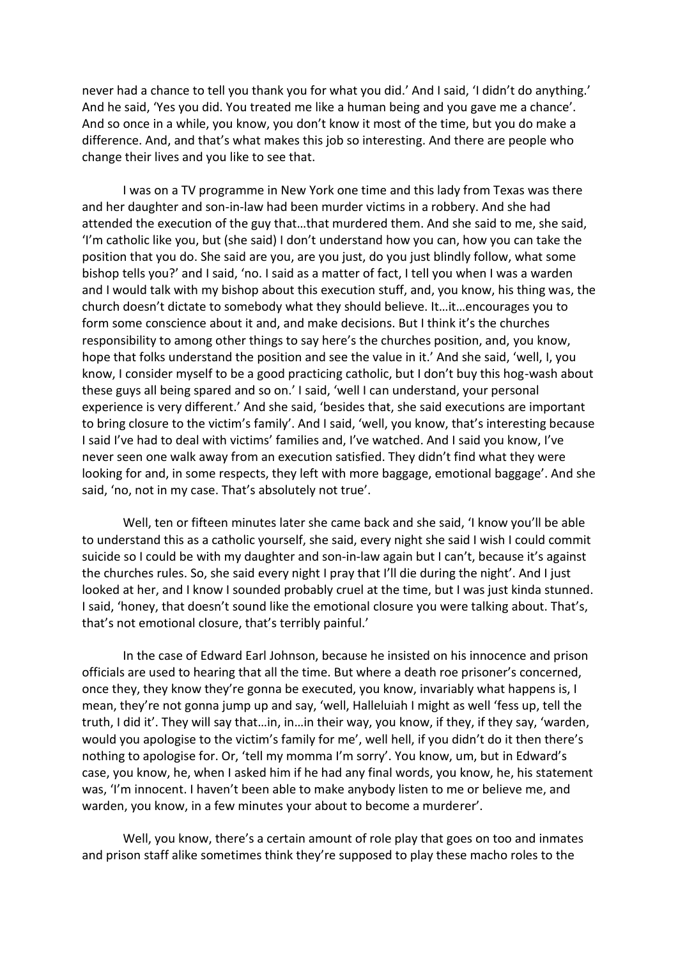never had a chance to tell you thank you for what you did.' And I said, 'I didn't do anything.' And he said, 'Yes you did. You treated me like a human being and you gave me a chance'. And so once in a while, you know, you don't know it most of the time, but you do make a difference. And, and that's what makes this job so interesting. And there are people who change their lives and you like to see that.

I was on a TV programme in New York one time and this lady from Texas was there and her daughter and son-in-law had been murder victims in a robbery. And she had attended the execution of the guy that…that murdered them. And she said to me, she said, 'I'm catholic like you, but (she said) I don't understand how you can, how you can take the position that you do. She said are you, are you just, do you just blindly follow, what some bishop tells you?' and I said, 'no. I said as a matter of fact, I tell you when I was a warden and I would talk with my bishop about this execution stuff, and, you know, his thing was, the church doesn't dictate to somebody what they should believe. It…it…encourages you to form some conscience about it and, and make decisions. But I think it's the churches responsibility to among other things to say here's the churches position, and, you know, hope that folks understand the position and see the value in it.' And she said, 'well, I, you know, I consider myself to be a good practicing catholic, but I don't buy this hog-wash about these guys all being spared and so on.' I said, 'well I can understand, your personal experience is very different.' And she said, 'besides that, she said executions are important to bring closure to the victim's family'. And I said, 'well, you know, that's interesting because I said I've had to deal with victims' families and, I've watched. And I said you know, I've never seen one walk away from an execution satisfied. They didn't find what they were looking for and, in some respects, they left with more baggage, emotional baggage'. And she said, 'no, not in my case. That's absolutely not true'.

Well, ten or fifteen minutes later she came back and she said, 'I know you'll be able to understand this as a catholic yourself, she said, every night she said I wish I could commit suicide so I could be with my daughter and son-in-law again but I can't, because it's against the churches rules. So, she said every night I pray that I'll die during the night'. And I just looked at her, and I know I sounded probably cruel at the time, but I was just kinda stunned. I said, 'honey, that doesn't sound like the emotional closure you were talking about. That's, that's not emotional closure, that's terribly painful.'

In the case of Edward Earl Johnson, because he insisted on his innocence and prison officials are used to hearing that all the time. But where a death roe prisoner's concerned, once they, they know they're gonna be executed, you know, invariably what happens is, I mean, they're not gonna jump up and say, 'well, Halleluiah I might as well 'fess up, tell the truth, I did it'. They will say that…in, in…in their way, you know, if they, if they say, 'warden, would you apologise to the victim's family for me', well hell, if you didn't do it then there's nothing to apologise for. Or, 'tell my momma I'm sorry'. You know, um, but in Edward's case, you know, he, when I asked him if he had any final words, you know, he, his statement was, 'I'm innocent. I haven't been able to make anybody listen to me or believe me, and warden, you know, in a few minutes your about to become a murderer'.

Well, you know, there's a certain amount of role play that goes on too and inmates and prison staff alike sometimes think they're supposed to play these macho roles to the